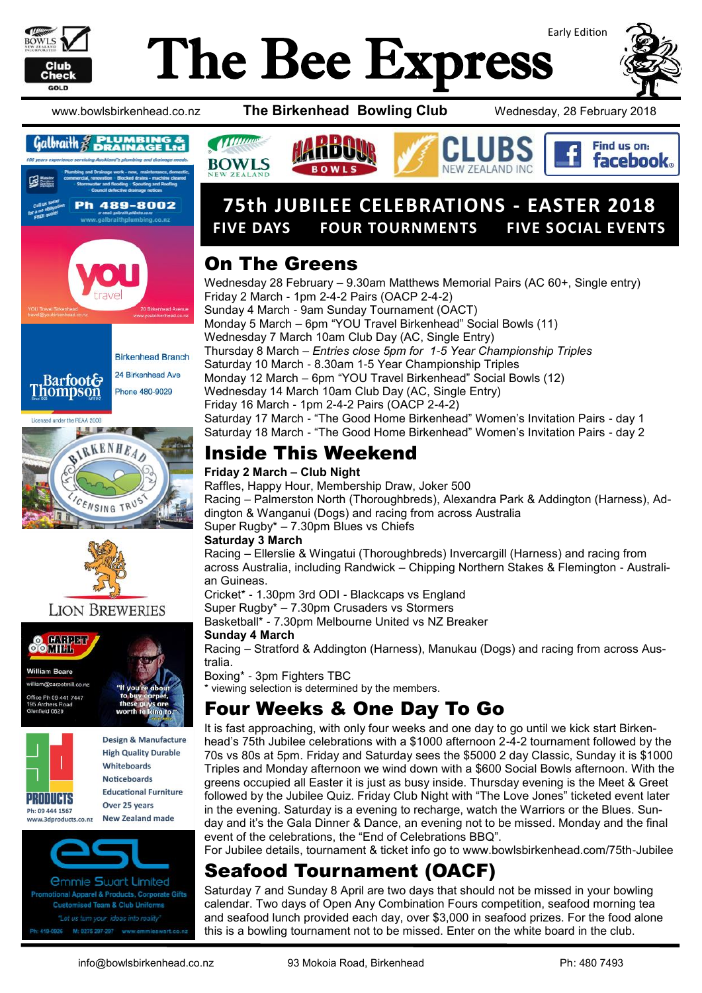

# Early Edition The Bee Express



Find us on: **facebook.** 

www.bowlsbirkenhead.co.nz **The Birkenhead Bowling Club** Wednesday, 28 February 2018











### **LION BREWERIES**





**Design & Manufacture High Quality Durable Whitehoards Noticeboards Educational Furniture** Over 25 years **New Zealand made** 

*<u>Ommie Swart Limited</u>* onal Apparel & Products, Corporate Gifts **Customised Team & Club Uniforms** "Let us turn your ideas into reality M: 0275 297-297 wv 19-0926

# **75th JUBILEE CELEBRATIONS - EASTER 2018 FIVE DAYS FOUR TOURNMENTS FIVE SOCIAL EVENTS**

AND INC

### On The Greens

**Municipal** 

**BOWLS** 

Wednesday 28 February – 9.30am Matthews Memorial Pairs (AC 60+, Single entry) Friday 2 March - 1pm 2-4-2 Pairs (OACP 2-4-2) Sunday 4 March - 9am Sunday Tournament (OACT) Monday 5 March – 6pm "YOU Travel Birkenhead" Social Bowls (11) Wednesday 7 March 10am Club Day (AC, Single Entry) Thursday 8 March – *Entries close 5pm for 1-5 Year Championship Triples* Saturday 10 March - 8.30am 1-5 Year Championship Triples Monday 12 March – 6pm "YOU Travel Birkenhead" Social Bowls (12) Wednesday 14 March 10am Club Day (AC, Single Entry) Friday 16 March - 1pm 2-4-2 Pairs (OACP 2-4-2) Saturday 17 March - "The Good Home Birkenhead" Women's Invitation Pairs - day 1 Saturday 18 March - "The Good Home Birkenhead" Women's Invitation Pairs - day 2

### Inside This Weekend

#### **Friday 2 March – Club Night**

Raffles, Happy Hour, Membership Draw, Joker 500 Racing – Palmerston North (Thoroughbreds), Alexandra Park & Addington (Harness), Addington & Wanganui (Dogs) and racing from across Australia Super Rugby\* – 7.30pm Blues vs Chiefs

#### **Saturday 3 March**

Racing – Ellerslie & Wingatui (Thoroughbreds) Invercargill (Harness) and racing from across Australia, including Randwick – Chipping Northern Stakes & Flemington - Australian Guineas.

Cricket\* - 1.30pm 3rd ODI - Blackcaps vs England

Super Rugby\* – 7.30pm Crusaders vs Stormers

Basketball\* - 7.30pm Melbourne United vs NZ Breaker

#### **Sunday 4 March**

Racing – Stratford & Addington (Harness), Manukau (Dogs) and racing from across Australia.

Boxing\* - 3pm Fighters TBC \* viewing selection is determined by the members.

## Four Weeks & One Day To Go

It is fast approaching, with only four weeks and one day to go until we kick start Birkenhead's 75th Jubilee celebrations with a \$1000 afternoon 2-4-2 tournament followed by the 70s vs 80s at 5pm. Friday and Saturday sees the \$5000 2 day Classic, Sunday it is \$1000 Triples and Monday afternoon we wind down with a \$600 Social Bowls afternoon. With the greens occupied all Easter it is just as busy inside. Thursday evening is the Meet & Greet followed by the Jubilee Quiz. Friday Club Night with "The Love Jones" ticketed event later in the evening. Saturday is a evening to recharge, watch the Warriors or the Blues. Sunday and it's the Gala Dinner & Dance, an evening not to be missed. Monday and the final event of the celebrations, the "End of Celebrations BBQ".

For Jubilee details, tournament & ticket info go to www.bowlsbirkenhead.com/75th-Jubilee

## Seafood Tournament (OACF)

Saturday 7 and Sunday 8 April are two days that should not be missed in your bowling calendar. Two days of Open Any Combination Fours competition, seafood morning tea and seafood lunch provided each day, over \$3,000 in seafood prizes. For the food alone this is a bowling tournament not to be missed. Enter on the white board in the club.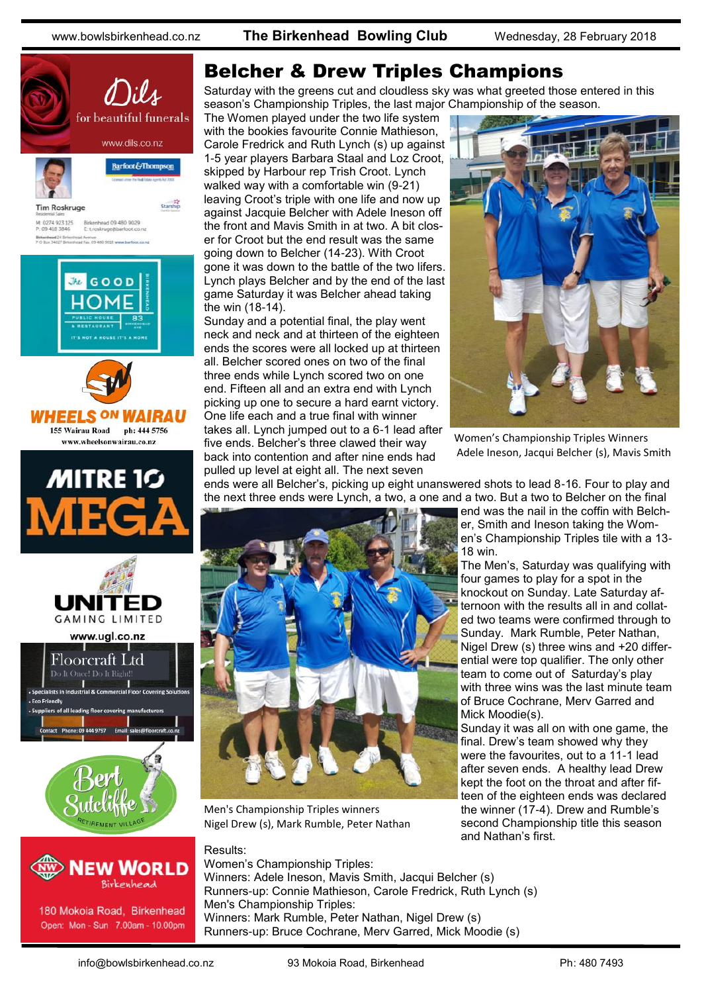www.bowlsbirkenhead.co.nz **The Birkenhead Bowling Club** Wednesday, 28 February 2018





180 Mokoia Road, Birkenhead Open: Mon - Sun 7.00am - 10.00pm

### Belcher & Drew Triples Champions

Saturday with the greens cut and cloudless sky was what greeted those entered in this season's Championship Triples, the last major Championship of the season.

The Women played under the two life system with the bookies favourite Connie Mathieson, Carole Fredrick and Ruth Lynch (s) up against 1-5 year players Barbara Staal and Loz Croot, skipped by Harbour rep Trish Croot. Lynch walked way with a comfortable win (9-21) leaving Croot's triple with one life and now up against Jacquie Belcher with Adele Ineson off the front and Mavis Smith in at two. A bit closer for Croot but the end result was the same going down to Belcher (14-23). With Croot gone it was down to the battle of the two lifers. Lynch plays Belcher and by the end of the last game Saturday it was Belcher ahead taking the win (18-14).

Sunday and a potential final, the play went neck and neck and at thirteen of the eighteen ends the scores were all locked up at thirteen all. Belcher scored ones on two of the final three ends while Lynch scored two on one end. Fifteen all and an extra end with Lynch picking up one to secure a hard earnt victory. One life each and a true final with winner takes all. Lynch jumped out to a 6-1 lead after five ends. Belcher's three clawed their way back into contention and after nine ends had pulled up level at eight all. The next seven



Women's Championship Triples Winners Adele Ineson, Jacqui Belcher (s), Mavis Smith

ends were all Belcher's, picking up eight unanswered shots to lead 8-16. Four to play and the next three ends were Lynch, a two, a one and a two. But a two to Belcher on the final



Men's Championship Triples winners Nigel Drew (s), Mark Rumble, Peter Nathan

Results: Women's Championship Triples: Winners: Adele Ineson, Mavis Smith, Jacqui Belcher (s) Runners-up: Connie Mathieson, Carole Fredrick, Ruth Lynch (s) Men's Championship Triples: Winners: Mark Rumble, Peter Nathan, Nigel Drew (s) Runners-up: Bruce Cochrane, Merv Garred, Mick Moodie (s)

end was the nail in the coffin with Belcher, Smith and Ineson taking the Women's Championship Triples tile with a 13- 18 win.

The Men's, Saturday was qualifying with four games to play for a spot in the knockout on Sunday. Late Saturday afternoon with the results all in and collated two teams were confirmed through to Sunday. Mark Rumble, Peter Nathan, Nigel Drew (s) three wins and +20 differential were top qualifier. The only other team to come out of Saturday's play with three wins was the last minute team of Bruce Cochrane, Merv Garred and Mick Moodie(s).

Sunday it was all on with one game, the final. Drew's team showed why they were the favourites, out to a 11-1 lead after seven ends. A healthy lead Drew kept the foot on the throat and after fifteen of the eighteen ends was declared the winner (17-4). Drew and Rumble's second Championship title this season and Nathan's first.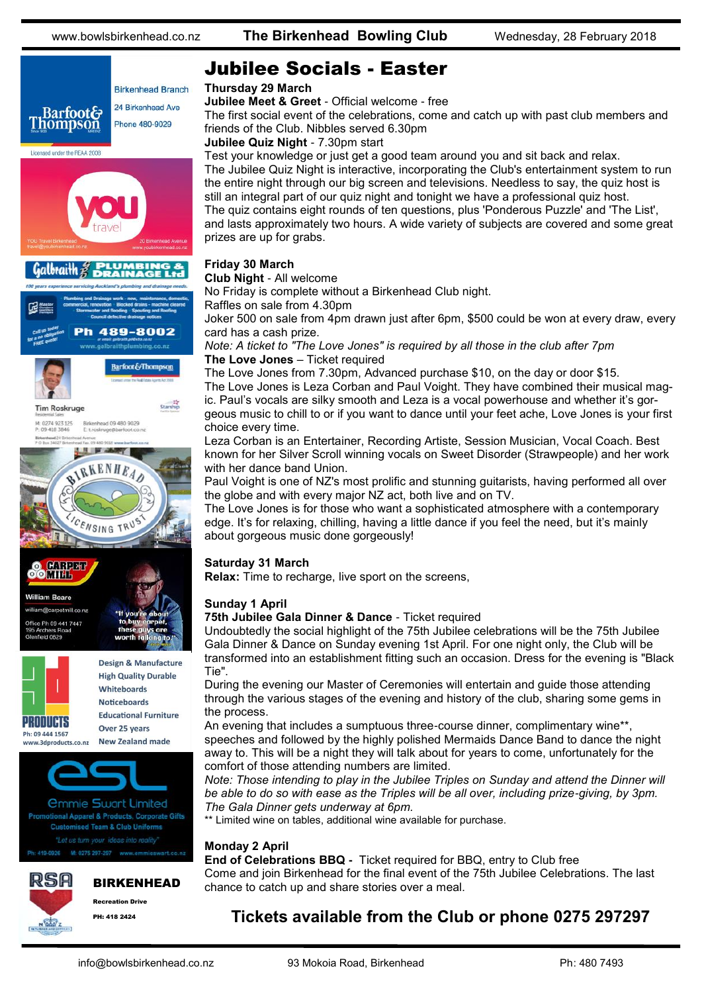





www.3dproducts.co.nz

**High Quality Durable** Whiteboards Noticeboards **Educational Furniture** Over 25 years **New Zealand made** 



PH: 418 2424



**75th Jubilee Gala Dinner & Dance** - Ticket required

Undoubtedly the social highlight of the 75th Jubilee celebrations will be the 75th Jubilee Gala Dinner & Dance on Sunday evening 1st April. For one night only, the Club will be transformed into an establishment fitting such an occasion. Dress for the evening is "Black Tie".

An evening that includes a sumptuous three-course dinner, complimentary wine\*\*, speeches and followed by the highly polished Mermaids Dance Band to dance the night away to. This will be a night they will talk about for years to come, unfortunately for the comfort of those attending numbers are limited.

*Note: Those intending to play in the Jubilee Triples on Sunday and attend the Dinner will* be able to do so with ease as the Triples will be all over, including prize-giving, by 3pm. *The Gala Dinner gets underway at 6pm.*

\*\* Limited wine on tables, additional wine available for purchase.

### **Monday 2 April**

**End of Celebrations BBQ -** Ticket required for BBQ, entry to Club free Come and join Birkenhead for the final event of the 75th Jubilee Celebrations. The last chance to catch up and share stories over a meal.

### **Tickets available from the Club or phone 0275 297297**

### Jubilee Socials - Easter

#### **Thursday 29 March**

**Jubilee Meet & Greet** - Official welcome - free

The first social event of the celebrations, come and catch up with past club members and friends of the Club. Nibbles served 6.30pm

**Jubilee Quiz Night** - 7.30pm start

Test your knowledge or just get a good team around you and sit back and relax. The Jubilee Quiz Night is interactive, incorporating the Club's entertainment system to run the entire night through our big screen and televisions. Needless to say, the quiz host is still an integral part of our quiz night and tonight we have a professional quiz host. The quiz contains eight rounds of ten questions, plus 'Ponderous Puzzle' and 'The List', and lasts approximately two hours. A wide variety of subjects are covered and some great prizes are up for grabs.

#### **Friday 30 March**

#### **Club Night** - All welcome

No Friday is complete without a Birkenhead Club night.

Raffles on sale from 4.30pm

Joker 500 on sale from 4pm drawn just after 6pm, \$500 could be won at every draw, every card has a cash prize.

*Note: A ticket to "The Love Jones" is required by all those in the club after 7pm* **The Love Jones** – Ticket required

The Love Jones from 7.30pm, Advanced purchase \$10, on the day or door \$15. The Love Jones is Leza Corban and Paul Voight. They have combined their musical magic. Paul's vocals are silky smooth and Leza is a vocal powerhouse and whether it's gorgeous music to chill to or if you want to dance until your feet ache, Love Jones is your first choice every time.

Leza Corban is an Entertainer, Recording Artiste, Session Musician, Vocal Coach. Best known for her Silver Scroll winning vocals on Sweet Disorder (Strawpeople) and her work with her dance band Union.

Paul Voight is one of NZ's most prolific and stunning guitarists, having performed all over the globe and with every major NZ act, both live and on TV.

The Love Jones is for those who want a sophisticated atmosphere with a contemporary edge. It's for relaxing, chilling, having a little dance if you feel the need, but it's mainly about gorgeous music done gorgeously!

### **Saturday 31 March**

**Relax:** Time to recharge, live sport on the screens,

### **Sunday 1 April**

During the evening our Master of Ceremonies will entertain and guide those attending through the various stages of the evening and history of the club, sharing some gems in the process.